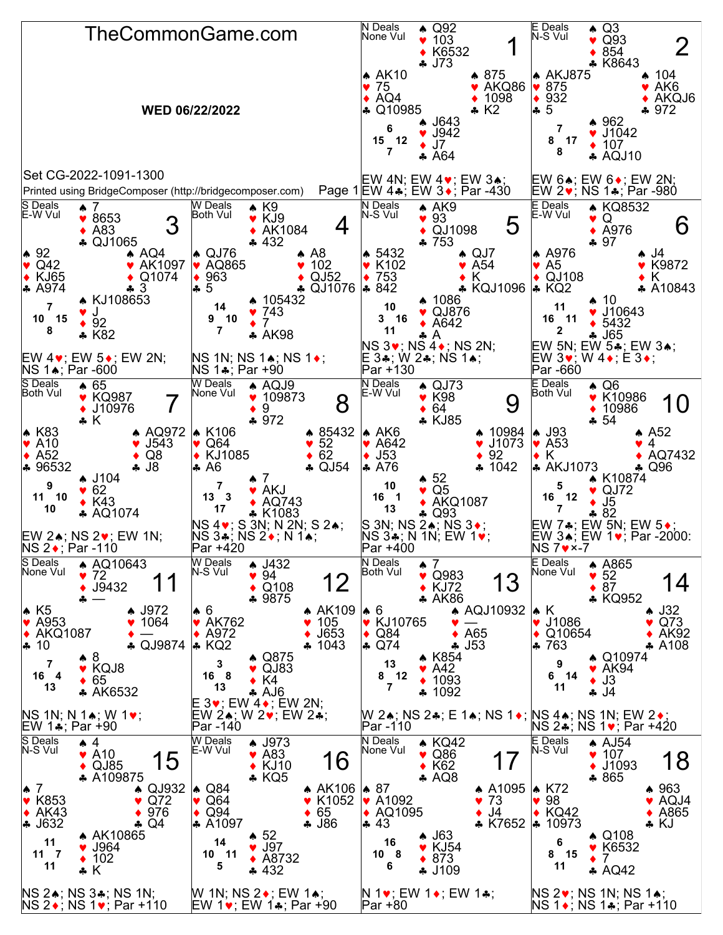